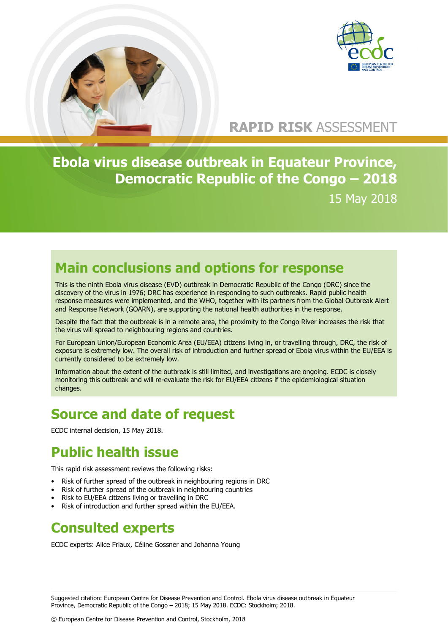

# **RAPID RISK** ASSESSMENT

**Ebola virus disease outbreak in Equateur Province, Democratic Republic of the Congo – 2018** 15 May 2018

# **Main conclusions and options for response**

This is the ninth Ebola virus disease (EVD) outbreak in Democratic Republic of the Congo (DRC) since the discovery of the virus in 1976; DRC has experience in responding to such outbreaks. Rapid public health response measures were implemented, and the WHO, together with its partners from the Global Outbreak Alert and Response Network (GOARN), are supporting the national health authorities in the response.

Despite the fact that the outbreak is in a remote area, the proximity to the Congo River increases the risk that the virus will spread to neighbouring regions and countries.

For European Union/European Economic Area (EU/EEA) citizens living in, or travelling through, DRC, the risk of exposure is extremely low. The overall risk of introduction and further spread of Ebola virus within the EU/EEA is currently considered to be extremely low.

Information about the extent of the outbreak is still limited, and investigations are ongoing. ECDC is closely monitoring this outbreak and will re-evaluate the risk for EU/EEA citizens if the epidemiological situation changes.

# **Source and date of request**

ECDC internal decision, 15 May 2018.

# **Public health issue**

This rapid risk assessment reviews the following risks:

- Risk of further spread of the outbreak in neighbouring regions in DRC
- Risk of further spread of the outbreak in neighbouring countries
- Risk to EU/EEA citizens living or travelling in DRC
- Risk of introduction and further spread within the EU/EEA.

#### **Consulted experts**

ECDC experts: Alice Friaux, Céline Gossner and Johanna Young

© European Centre for Disease Prevention and Control, Stockholm, 2018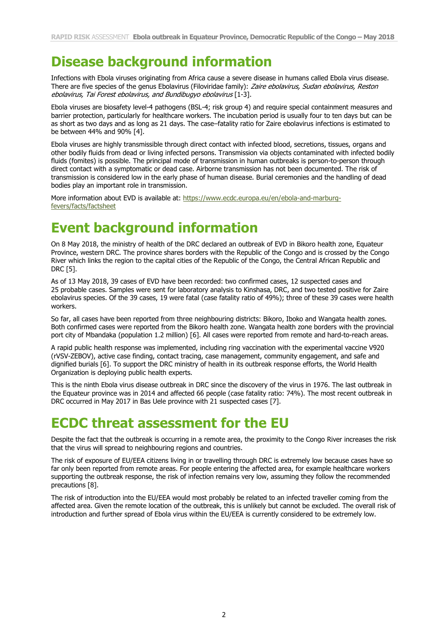# **Disease background information**

Infections with Ebola viruses originating from Africa cause a severe disease in humans called Ebola virus disease. There are five species of the genus Ebolavirus (Filoviridae family): Zaire ebolavirus, Sudan ebolavirus, Reston ebolavirus, Tai Forest ebolavirus, and Bundibugyo ebolavirus [1-3].

Ebola viruses are biosafety level-4 pathogens (BSL-4; risk group 4) and require special containment measures and barrier protection, particularly for healthcare workers. The incubation period is usually four to ten days but can be as short as two days and as long as 21 days. The case–fatality ratio for Zaire ebolavirus infections is estimated to be between 44% and 90% [4].

Ebola viruses are highly transmissible through direct contact with infected blood, secretions, tissues, organs and other bodily fluids from dead or living infected persons. Transmission via objects contaminated with infected bodily fluids (fomites) is possible. The principal mode of transmission in human outbreaks is person-to-person through direct contact with a symptomatic or dead case. Airborne transmission has not been documented. The risk of transmission is considered low in the early phase of human disease. Burial ceremonies and the handling of dead bodies play an important role in transmission.

More information about EVD is available at: [https://www.ecdc.europa.eu/en/ebola-and-marburg](https://www.ecdc.europa.eu/en/ebola-and-marburg-fevers/facts/factsheet)[fevers/facts/factsheet](https://www.ecdc.europa.eu/en/ebola-and-marburg-fevers/facts/factsheet)

# **Event background information**

On 8 May 2018, the ministry of health of the DRC declared an outbreak of EVD in Bikoro health zone, Equateur Province, western DRC. The province shares borders with the Republic of the Congo and is crossed by the Congo River which links the region to the capital cities of the Republic of the Congo, the Central African Republic and DRC [5].

As of 13 May 2018, 39 cases of EVD have been recorded: two confirmed cases, 12 suspected cases and 25 probable cases. Samples were sent for laboratory analysis to Kinshasa, DRC, and two tested positive for Zaire ebolavirus species. Of the 39 cases, 19 were fatal (case fatality ratio of 49%); three of these 39 cases were health workers.

So far, all cases have been reported from three neighbouring districts: Bikoro, Iboko and Wangata health zones. Both confirmed cases were reported from the Bikoro health zone. Wangata health zone borders with the provincial port city of Mbandaka (population 1.2 million) [6]. All cases were reported from remote and hard-to-reach areas.

A rapid public health response was implemented, including ring vaccination with the experimental vaccine V920 (rVSV-ZEBOV), active case finding, contact tracing, case management, community engagement, and safe and dignified burials [6]. To support the DRC ministry of health in its outbreak response efforts, the World Health Organization is deploying public health experts.

This is the ninth Ebola virus disease outbreak in DRC since the discovery of the virus in 1976. The last outbreak in the Equateur province was in 2014 and affected 66 people (case fatality ratio: 74%). The most recent outbreak in DRC occurred in May 2017 in Bas Uele province with 21 suspected cases [7].

# **ECDC threat assessment for the EU**

Despite the fact that the outbreak is occurring in a remote area, the proximity to the Congo River increases the risk that the virus will spread to neighbouring regions and countries.

The risk of exposure of EU/EEA citizens living in or travelling through DRC is extremely low because cases have so far only been reported from remote areas. For people entering the affected area, for example healthcare workers supporting the outbreak response, the risk of infection remains very low, assuming they follow the recommended precautions [8].

The risk of introduction into the EU/EEA would most probably be related to an infected traveller coming from the affected area. Given the remote location of the outbreak, this is unlikely but cannot be excluded. The overall risk of introduction and further spread of Ebola virus within the EU/EEA is currently considered to be extremely low.